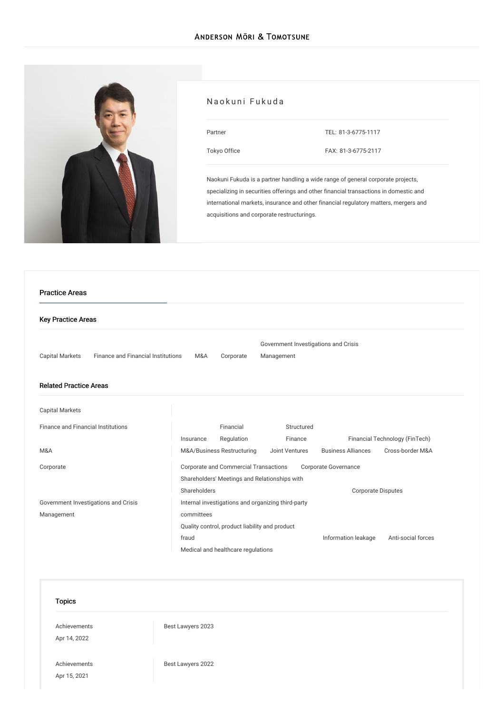

# Naokuni Fukuda

| Partner      | TEL: 81-3-6775-1117 |
|--------------|---------------------|
| Tokyo Office | FAX: 81-3-6775-2117 |

Naokuni Fukuda is a partner handling a wide range of general corporate projects, specializing in securities offerings and other financial transactions in domestic and international markets, insurance and other financial regulatory matters, mergers and acquisitions and corporate restructurings.

# Key Practice Areas Capital [Markets](/en/services/practices/capital-markets) Finance and Financial [Institutions](/en/services/practices/finance-and-financial-institutions) [M&A](/en/services/practices/mergers-and-acquisitions) [Corporate](/en/services/practices/corporate) Government [Investigations](/en/services/practices/government-investigation-crisis-management) and Crisis Management Related Practice Areas Capital [Markets](/en/services/practices/capital-markets) Finance and Financial [Institutions](/en/services/practices/finance-and-financial-institutions) [Insurance](/en/services/practices/finance-and-financial-institutions/insurance) Financial [Regulation](/en/services/practices/finance-and-financial-institutions/financial-regulation) [Structured](/en/services/practices/finance-and-financial-institutions/structured-finance) Finance Financial [Technology](/en/services/practices/finance-and-financial-institutions/fintech) (FinTech) [M&A](/en/services/practices/mergers-and-acquisitions) [M&A/Business](/en/services/practices/mergers-and-acquisitions/mergers-and-acquisitions_business-restructuring) Restructuring Joint [Ventures](/en/services/practices/mergers-and-acquisitions/joint-ventures) [Business](/en/services/practices/mergers-and-acquisitions/business-alliances) Alliances [Cross-border](/en/services/practices/mergers-and-acquisitions/cross-border-mergers-and-acquisitions) M&A [Corporate](/en/services/practices/corporate) Corporate and Commercial [Transactions](/en/services/practices/corporate/corporate-and-commercial-transactions) Corporate [Governance](/en/services/practices/corporate/corporate-governance) Shareholders' Meetings and [Relationships](/en/services/practices/corporate/shareholders-meetings-and-relationships-with-shareholders) with Shareholders **Community** [Corporate](/en/services/practices/corporate/corporate-disputes) Disputes Government [Investigations](/en/services/practices/government-investigation-crisis-management) and Crisis Management Internal [investigations](/en/services/practices/government-investigation-crisis-management/internal-investigations-and-organizing-third-party-committees) and organizing third-party committees Quality control, [product](/en/services/practices/government-investigation-crisis-management/quality-control_product-liability-and-product-fraud) liability and product fraud **[Information](/en/services/practices/government-investigation-crisis-management/information-leakage) leakage** [Anti-social](/en/services/practices/government-investigation-crisis-management/anti-social-forces) forces Medical and healthcare [regulations](/en/services/practices/government-investigation-crisis-management/medical-and-healthcare-regulations) Practice Areas

#### Topics

[Achievements](/en/news/achievements/) Apr 14, 2022

Best [Lawyers](/en/news/detail/news_0024840_en_001) 2023

[Achievements](/en/news/achievements/) Apr 15, 2021

Best [Lawyers](/en/news/detail/news_0022844_en_001) 2022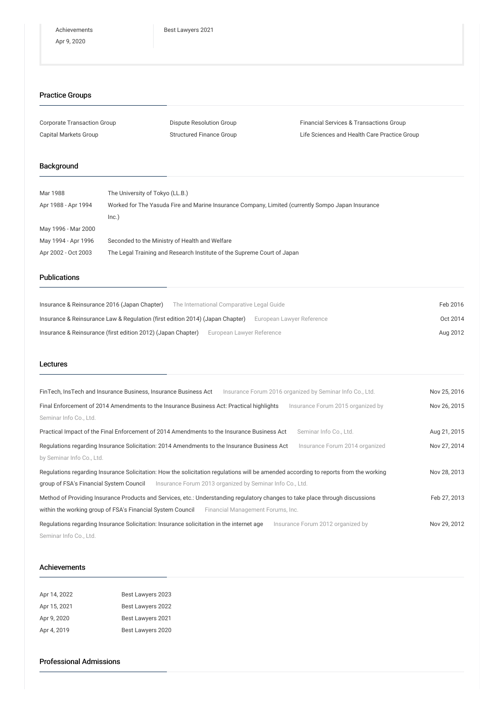# Practice Groups

| Corporate Transaction Group | Dispute Resolution Group        | <b>Financial Services &amp; Transactions Group</b> |
|-----------------------------|---------------------------------|----------------------------------------------------|
| Capital Markets Group       | <b>Structured Finance Group</b> | Life Sciences and Health Care Practice Group       |

# Background

| Mar 1988            | The University of Tokyo (LL.B.)                                                                   |
|---------------------|---------------------------------------------------------------------------------------------------|
| Apr 1988 - Apr 1994 | Worked for The Yasuda Fire and Marine Insurance Company, Limited (currently Sompo Japan Insurance |
|                     | Inc.)                                                                                             |
| May 1996 - Mar 2000 |                                                                                                   |
| May 1994 - Apr 1996 | Seconded to the Ministry of Health and Welfare                                                    |
| Apr 2002 - Oct 2003 | The Legal Training and Research Institute of the Supreme Court of Japan                           |

### Publications

| Insurance & Reinsurance 2016 (Japan Chapter)                                  | The International Comparative Legal Guide | Feb 2016 |
|-------------------------------------------------------------------------------|-------------------------------------------|----------|
| Insurance & Reinsurance Law & Regulation (first edition 2014) (Japan Chapter) | European Lawyer Reference                 | Oct 2014 |
| Insurance & Reinsurance (first edition 2012) (Japan Chapter)                  | European Lawyer Reference                 | Aug 2012 |

#### Lectures

| FinTech, InsTech and Insurance Business, Insurance Business Act<br>Insurance Forum 2016 organized by Seminar Info Co., Ltd.          | Nov 25, 2016 |
|--------------------------------------------------------------------------------------------------------------------------------------|--------------|
| Final Enforcement of 2014 Amendments to the Insurance Business Act: Practical highlights<br>Insurance Forum 2015 organized by        | Nov 26, 2015 |
| Seminar Info Co., Ltd.                                                                                                               |              |
| Practical Impact of the Final Enforcement of 2014 Amendments to the Insurance Business Act<br>Seminar Info Co., Ltd.                 | Aug 21, 2015 |
| Regulations regarding Insurance Solicitation: 2014 Amendments to the Insurance Business Act<br>Insurance Forum 2014 organized        | Nov 27, 2014 |
| by Seminar Info Co., Ltd.                                                                                                            |              |
| Regulations regarding Insurance Solicitation: How the solicitation regulations will be amended according to reports from the working | Nov 28, 2013 |
| group of FSA's Financial System Council<br>Insurance Forum 2013 organized by Seminar Info Co., Ltd.                                  |              |
| Method of Providing Insurance Products and Services, etc.: Understanding regulatory changes to take place through discussions        | Feb 27, 2013 |
| within the working group of FSA's Financial System Council<br>Financial Management Forums, Inc.                                      |              |
| Regulations regarding Insurance Solicitation: Insurance solicitation in the internet age<br>Insurance Forum 2012 organized by        | Nov 29, 2012 |
| Seminar Info Co., Ltd.                                                                                                               |              |

#### Achievements

| Apr 14, 2022 | Best Lawyers 2023 |
|--------------|-------------------|
| Apr 15, 2021 | Best Lawyers 2022 |
| Apr 9, 2020  | Best Lawyers 2021 |
| Apr 4, 2019  | Best Lawyers 2020 |

#### Professional Admissions